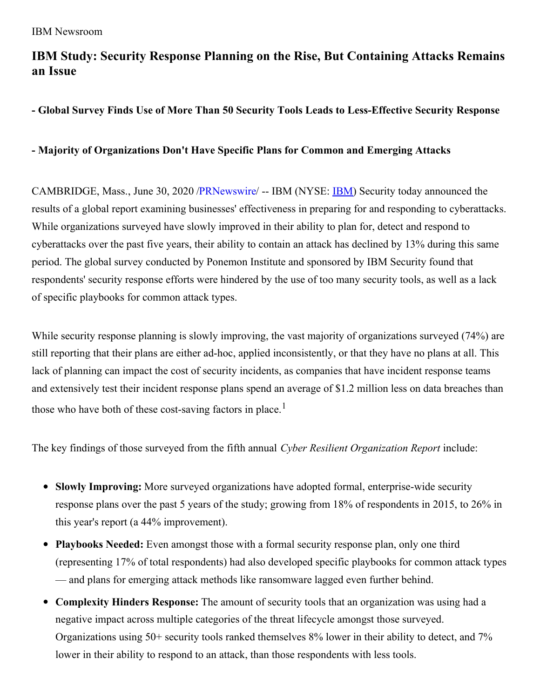# **IBM Study: Security Response Planning on the Rise, But Containing Attacks Remains an Issue**

**- Global Survey Finds Use of More Than 50 Security Tools Leads to Less-Effective Security Response**

# **- Majority of Organizations Don't Have Specific Plans for Common and Emerging Attacks**

CAMBRIDGE, Mass., June 30, 2020 [/PRNewswire](http://www.prnewswire.com/)/ -- [IBM](https://c212.net/c/link/?t=0&l=en&o=2844593-1&h=1897032582&u=https%3A%2F%2Fc212.net%2Fc%2Flink%2F%3Ft%3D0%26l%3Den%26o%3D2433262-1%26h%3D779524139%26u%3Dhttp%253A%252F%252Fwww.ibm.com%252Finvestor%26a%3DIBM&a=IBM) (NYSE: **IBM**) Security today announced the results of a global report examining businesses' effectiveness in preparing for and responding to cyberattacks. While organizations surveyed have slowly improved in their ability to plan for, detect and respond to cyberattacks over the past five years, their ability to contain an attack has declined by 13% during this same period. The global survey conducted by Ponemon Institute and sponsored by IBM Security found that respondents' security response efforts were hindered by the use of too many security tools, as well as a lack of specific playbooks for common attack types.

While security response planning is slowly improving, the vast majority of organizations surveyed (74%) are still reporting that their plans are either ad-hoc, applied inconsistently, or that they have no plans at all. This lack of planning can impact the cost of security incidents, as companies that have incident response teams and extensively test their incident response plans spend an average of \$1.2 million less on data breaches than those who have both of these cost-saving factors in place.<sup>1</sup>

The key findings of those surveyed from the fifth annual *Cyber Resilient Organization Report* include:

- **Slowly Improving:** More surveyed organizations have adopted formal, enterprise-wide security response plans over the past 5 years of the study; growing from 18% of respondents in 2015, to 26% in this year's report (a 44% improvement).
- **Playbooks Needed:** Even amongst those with a formal security response plan, only one third (representing 17% of total respondents) had also developed specific playbooks for common attack types — and plans for emerging attack methods like ransomware lagged even further behind.
- **Complexity Hinders Response:** The amount of security tools that an organization was using had a negative impact across multiple categories of the threat lifecycle amongst those surveyed. Organizations using 50+ security tools ranked themselves 8% lower in their ability to detect, and 7% lower in their ability to respond to an attack, than those respondents with less tools.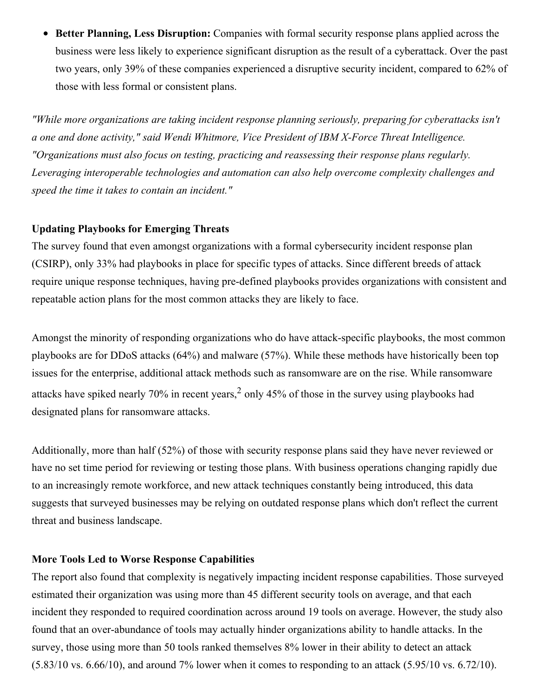**Better Planning, Less Disruption:** Companies with formal security response plans applied across the business were less likely to experience significant disruption as the result of a cyberattack. Over the past two years, only 39% of these companies experienced a disruptive security incident, compared to 62% of those with less formal or consistent plans.

*"While more organizations are taking incident response planning seriously, preparing for cyberattacks isn't a one and done activity," said Wendi Whitmore, Vice President of IBM X-Force Threat Intelligence. "Organizations must also focus on testing, practicing and reassessing their response plans regularly. Leveraging interoperable technologies and automation can also help overcome complexity challenges and speed the time it takes to contain an incident."*

## **Updating Playbooks for Emerging Threats**

The survey found that even amongst organizations with a formal cybersecurity incident response plan (CSIRP), only 33% had playbooks in place for specific types of attacks. Since different breeds of attack require unique response techniques, having pre-defined playbooks provides organizations with consistent and repeatable action plans for the most common attacks they are likely to face.

Amongst the minority of responding organizations who do have attack-specific playbooks, the most common playbooks are for DDoS attacks (64%) and malware (57%). While these methods have historically been top issues for the enterprise, additional attack methods such as ransomware are on the rise. While ransomware attacks have spiked nearly 70% in recent years,<sup>2</sup> only 45% of those in the survey using playbooks had designated plans for ransomware attacks.

Additionally, more than half (52%) of those with security response plans said they have never reviewed or have no set time period for reviewing or testing those plans. With business operations changing rapidly due to an increasingly remote workforce, and new attack techniques constantly being introduced, this data suggests that surveyed businesses may be relying on outdated response plans which don't reflect the current threat and business landscape.

#### **More Tools Led to Worse Response Capabilities**

The report also found that complexity is negatively impacting incident response capabilities. Those surveyed estimated their organization was using more than 45 different security tools on average, and that each incident they responded to required coordination across around 19 tools on average. However, the study also found that an over-abundance of tools may actually hinder organizations ability to handle attacks. In the survey, those using more than 50 tools ranked themselves 8% lower in their ability to detect an attack  $(5.83/10 \text{ vs. } 6.66/10)$ , and around 7% lower when it comes to responding to an attack  $(5.95/10 \text{ vs. } 6.72/10)$ .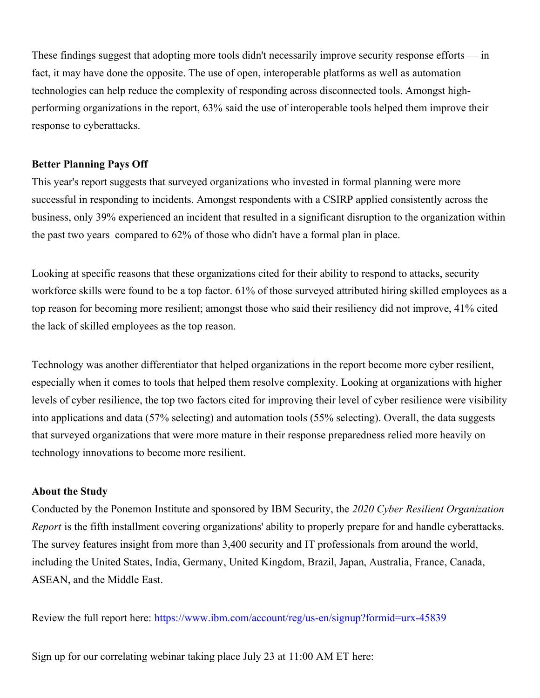These findings suggest that adopting more tools didn't necessarily improve security response efforts — in fact, it may have done the opposite. The use of open, interoperable platforms as well as automation technologies can help reduce the complexity of responding across disconnected tools. Amongst highperforming organizations in the report, 63% said the use of interoperable tools helped them improve their response to cyberattacks.

## **Better Planning Pays Off**

This year's report suggests that surveyed organizations who invested in formal planning were more successful in responding to incidents. Amongst respondents with a CSIRP applied consistently across the business, only 39% experienced an incident that resulted in a significant disruption to the organization within the past two years compared to 62% of those who didn't have a formal plan in place.

Looking at specific reasons that these organizations cited for their ability to respond to attacks, security workforce skills were found to be a top factor. 61% of those surveyed attributed hiring skilled employees as a top reason for becoming more resilient; amongst those who said their resiliency did not improve, 41% cited the lack of skilled employees as the top reason.

Technology was another differentiator that helped organizations in the report become more cyber resilient, especially when it comes to tools that helped them resolve complexity. Looking at organizations with higher levels of cyber resilience, the top two factors cited for improving their level of cyber resilience were visibility into applications and data (57% selecting) and automation tools (55% selecting). Overall, the data suggests that surveyed organizations that were more mature in their response preparedness relied more heavily on technology innovations to become more resilient.

#### **About the Study**

Conducted by the Ponemon Institute and sponsored by IBM Security, the *2020 Cyber Resilient Organization Report* is the fifth installment covering organizations' ability to properly prepare for and handle cyberattacks. The survey features insight from more than 3,400 security and IT professionals from around the world, including the United States, India, Germany, United Kingdom, Brazil, Japan, Australia, France, Canada, ASEAN, and the Middle East.

Review the full report here: [https://www.ibm.com/account/reg/us-en/signup?formid=urx-45839](https://c212.net/c/link/?t=0&l=en&o=2844593-1&h=1328320830&u=https%3A%2F%2Fwww.ibm.com%2Faccount%2Freg%2Fus-en%2Fsignup%3Fformid%3Durx-45839&a=https%3A%2F%2Fwww.ibm.com%2Faccount%2Freg%2Fus-en%2Fsignup%3Fformid%3Durx-45839)

Sign up for our correlating webinar taking place July 23 at 11:00 AM ET here: